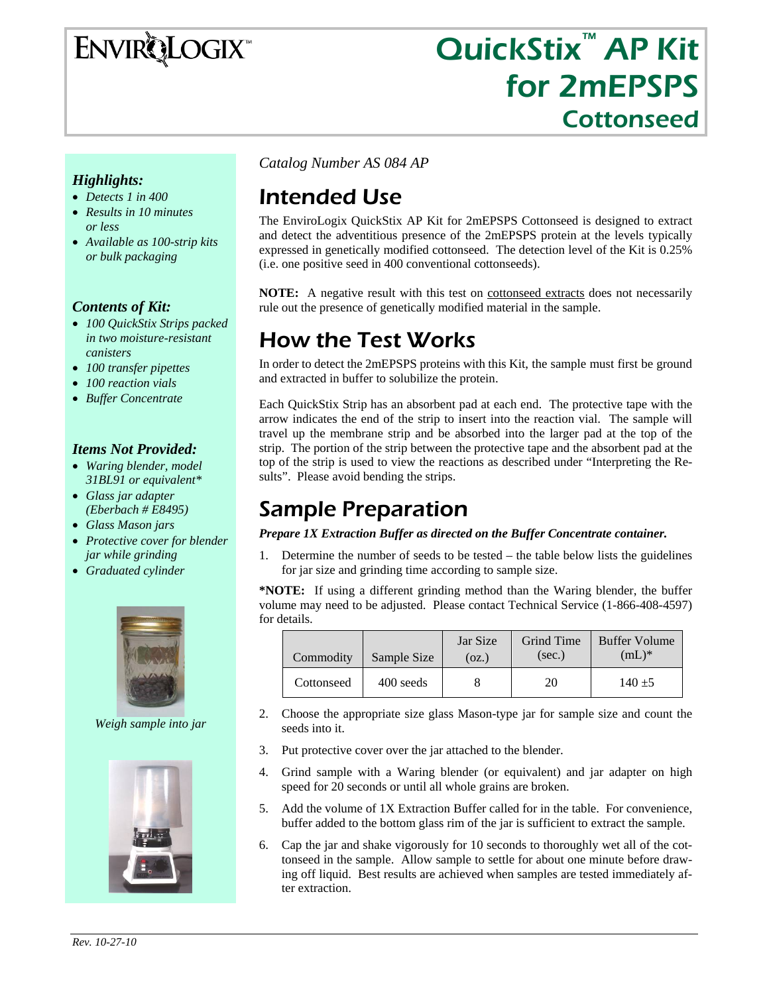ENVIRQLOGIX

# QuickStix<sup>™</sup> AP Kit for 2mEPSPS Cottonseed

#### *Highlights:*

- *Detects 1 in 400*
- *Results in 10 minutes or less*
- *Available as 100-strip kits or bulk packaging*

#### *Contents of Kit:*

- *100 QuickStix Strips packed in two moisture-resistant canisters*
- *100 transfer pipettes*
- *100 reaction vials*
- *Buffer Concentrate*

#### *Items Not Provided:*

- *Waring blender, model 31BL91 or equivalent\**
- *Glass jar adapter (Eberbach # E8495)*
- *Glass Mason jars*
- *Protective cover for blender jar while grinding*
- *Graduated cylinder*



*Weigh sample into jar* 



*Catalog Number AS 084 AP* 

# Intended Use

The EnviroLogix QuickStix AP Kit for 2mEPSPS Cottonseed is designed to extract and detect the adventitious presence of the 2mEPSPS protein at the levels typically expressed in genetically modified cottonseed. The detection level of the Kit is 0.25% (i.e. one positive seed in 400 conventional cottonseeds).

**NOTE:** A negative result with this test on cottonseed extracts does not necessarily rule out the presence of genetically modified material in the sample.

## How the Test Works

In order to detect the 2mEPSPS proteins with this Kit, the sample must first be ground and extracted in buffer to solubilize the protein.

Each QuickStix Strip has an absorbent pad at each end. The protective tape with the arrow indicates the end of the strip to insert into the reaction vial. The sample will travel up the membrane strip and be absorbed into the larger pad at the top of the strip. The portion of the strip between the protective tape and the absorbent pad at the top of the strip is used to view the reactions as described under "Interpreting the Results". Please avoid bending the strips.

### Sample Preparation

#### *Prepare 1X Extraction Buffer as directed on the Buffer Concentrate container.*

1. Determine the number of seeds to be tested – the table below lists the guidelines for jar size and grinding time according to sample size.

**\*NOTE:** If using a different grinding method than the Waring blender, the buffer volume may need to be adjusted. Please contact Technical Service (1-866-408-4597) for details.

| Commodity  | Sample Size | Jar Size<br>(OZ.) | Grind Time<br>(sec.) | Buffer Volume<br>$(mL)^*$ |
|------------|-------------|-------------------|----------------------|---------------------------|
| Cottonseed | 400 seeds   |                   | 20                   | $140 + 5$                 |

- 2. Choose the appropriate size glass Mason-type jar for sample size and count the seeds into it.
- 3. Put protective cover over the jar attached to the blender.
- 4. Grind sample with a Waring blender (or equivalent) and jar adapter on high speed for 20 seconds or until all whole grains are broken.
- 5. Add the volume of 1X Extraction Buffer called for in the table. For convenience, buffer added to the bottom glass rim of the jar is sufficient to extract the sample.
- 6. Cap the jar and shake vigorously for 10 seconds to thoroughly wet all of the cottonseed in the sample. Allow sample to settle for about one minute before drawing off liquid. Best results are achieved when samples are tested immediately after extraction.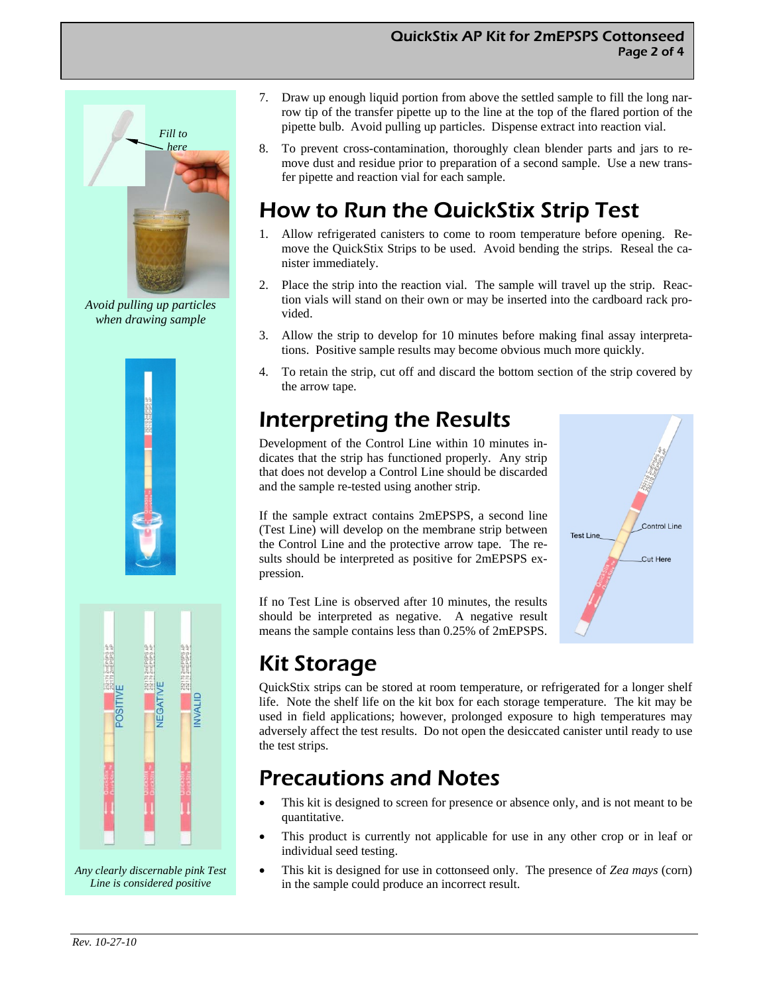

*Avoid pulling up particles when drawing sample* 





*Any clearly discernable pink Test Line is considered positive* 

- 7. Draw up enough liquid portion from above the settled sample to fill the long narrow tip of the transfer pipette up to the line at the top of the flared portion of the pipette bulb. Avoid pulling up particles. Dispense extract into reaction vial.
- 8. To prevent cross-contamination, thoroughly clean blender parts and jars to remove dust and residue prior to preparation of a second sample. Use a new transfer pipette and reaction vial for each sample.

# How to Run the QuickStix Strip Test

- 1. Allow refrigerated canisters to come to room temperature before opening. Remove the QuickStix Strips to be used. Avoid bending the strips. Reseal the canister immediately.
- 2. Place the strip into the reaction vial. The sample will travel up the strip. Reaction vials will stand on their own or may be inserted into the cardboard rack provided.
- 3. Allow the strip to develop for 10 minutes before making final assay interpretations. Positive sample results may become obvious much more quickly.
- 4. To retain the strip, cut off and discard the bottom section of the strip covered by the arrow tape.

## Interpreting the Results

Development of the Control Line within 10 minutes indicates that the strip has functioned properly. Any strip that does not develop a Control Line should be discarded and the sample re-tested using another strip.

If the sample extract contains 2mEPSPS, a second line (Test Line) will develop on the membrane strip between the Control Line and the protective arrow tape. The results should be interpreted as positive for 2mEPSPS expression.

If no Test Line is observed after 10 minutes, the results should be interpreted as negative. A negative result means the sample contains less than 0.25% of 2mEPSPS.



# Kit Storage

QuickStix strips can be stored at room temperature, or refrigerated for a longer shelf life. Note the shelf life on the kit box for each storage temperature. The kit may be used in field applications; however, prolonged exposure to high temperatures may adversely affect the test results. Do not open the desiccated canister until ready to use the test strips.

### Precautions and Notes

- This kit is designed to screen for presence or absence only, and is not meant to be quantitative.
- This product is currently not applicable for use in any other crop or in leaf or individual seed testing.
- This kit is designed for use in cottonseed only. The presence of *Zea mays* (corn) in the sample could produce an incorrect result.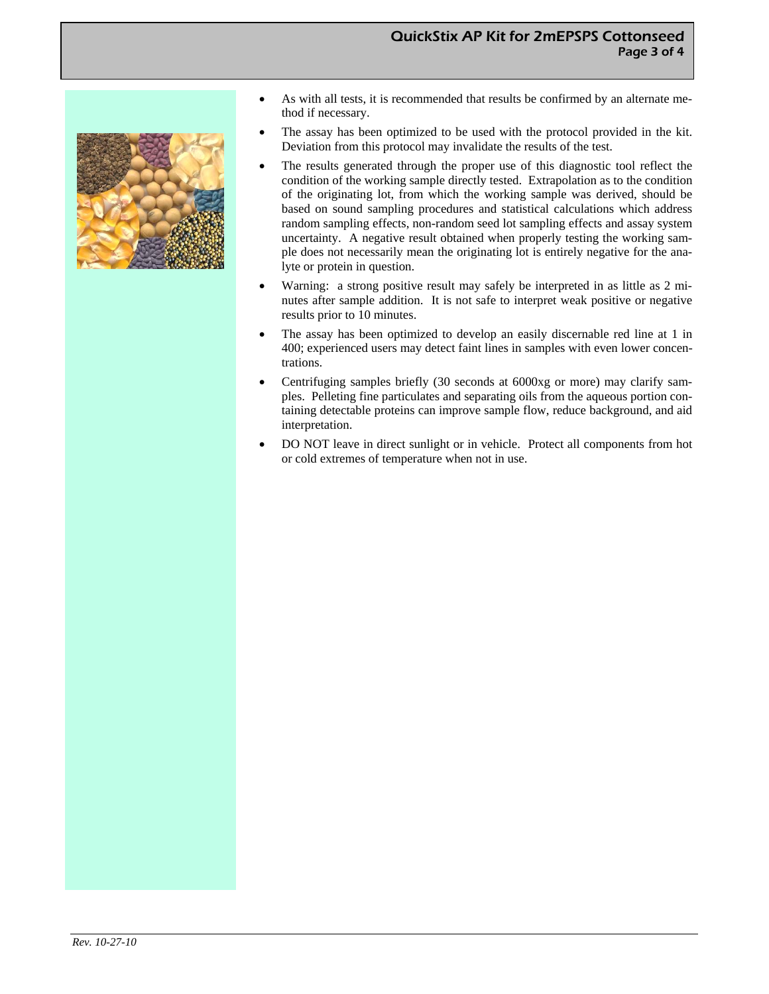

- As with all tests, it is recommended that results be confirmed by an alternate method if necessary.
- The assay has been optimized to be used with the protocol provided in the kit. Deviation from this protocol may invalidate the results of the test.
- The results generated through the proper use of this diagnostic tool reflect the condition of the working sample directly tested. Extrapolation as to the condition of the originating lot, from which the working sample was derived, should be based on sound sampling procedures and statistical calculations which address random sampling effects, non-random seed lot sampling effects and assay system uncertainty. A negative result obtained when properly testing the working sample does not necessarily mean the originating lot is entirely negative for the analyte or protein in question.
- Warning: a strong positive result may safely be interpreted in as little as 2 minutes after sample addition. It is not safe to interpret weak positive or negative results prior to 10 minutes.
- The assay has been optimized to develop an easily discernable red line at 1 in 400; experienced users may detect faint lines in samples with even lower concentrations.
- Centrifuging samples briefly (30 seconds at 6000xg or more) may clarify samples. Pelleting fine particulates and separating oils from the aqueous portion containing detectable proteins can improve sample flow, reduce background, and aid interpretation.
- DO NOT leave in direct sunlight or in vehicle. Protect all components from hot or cold extremes of temperature when not in use.